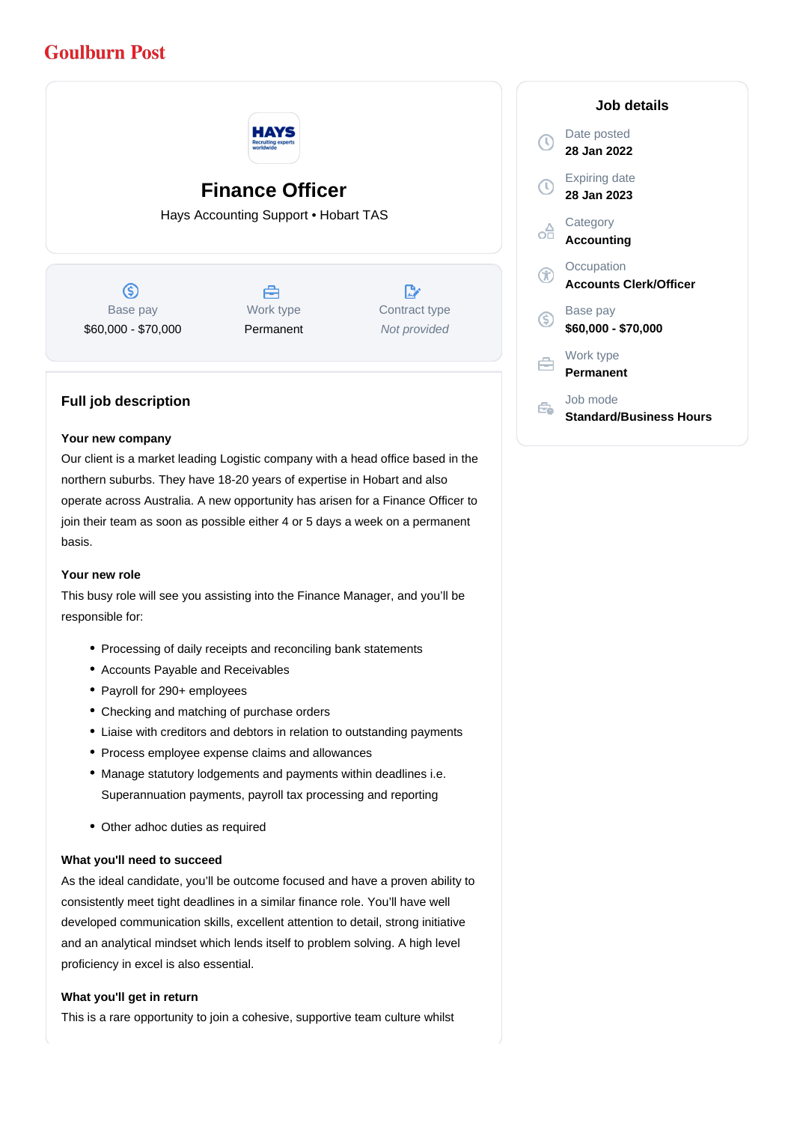## **Goulburn Post**



# **Finance Officer**

Hays Accounting Support • Hobart TAS

 $\circledS$ Base pay \$60,000 - \$70,000



 $\mathbb{R}^{\cdot}$ Contract type Not provided

### **Full job description**

#### **Your new company**

Our client is a market leading Logistic company with a head office based in the northern suburbs. They have 18-20 years of expertise in Hobart and also operate across Australia. A new opportunity has arisen for a Finance Officer to join their team as soon as possible either 4 or 5 days a week on a permanent basis.

#### **Your new role**

This busy role will see you assisting into the Finance Manager, and you'll be responsible for:

- Processing of daily receipts and reconciling bank statements
- Accounts Payable and Receivables
- Payroll for 290+ employees
- Checking and matching of purchase orders
- Liaise with creditors and debtors in relation to outstanding payments
- Process employee expense claims and allowances
- Manage statutory lodgements and payments within deadlines i.e. Superannuation payments, payroll tax processing and reporting
- Other adhoc duties as required

#### **What you'll need to succeed**

As the ideal candidate, you'll be outcome focused and have a proven ability to consistently meet tight deadlines in a similar finance role. You'll have well developed communication skills, excellent attention to detail, strong initiative and an analytical mindset which lends itself to problem solving. A high level proficiency in excel is also essential.

#### **What you'll get in return**

This is a rare opportunity to join a cohesive, supportive team culture whilst

|              | Job details                                 |
|--------------|---------------------------------------------|
| $\mathbb{C}$ | Date posted<br>28 Jan 2022                  |
| Ţ            | Expiring date<br>28 Jan 2023                |
| oA           | Category<br><b>Accounting</b>               |
|              | Occupation<br><b>Accounts Clerk/Officer</b> |
| S            | Base pay<br>\$60,000 - \$70,000             |
|              | Work type<br>Permanent                      |
|              | Job mode<br><b>Standard/Business Hours</b>  |